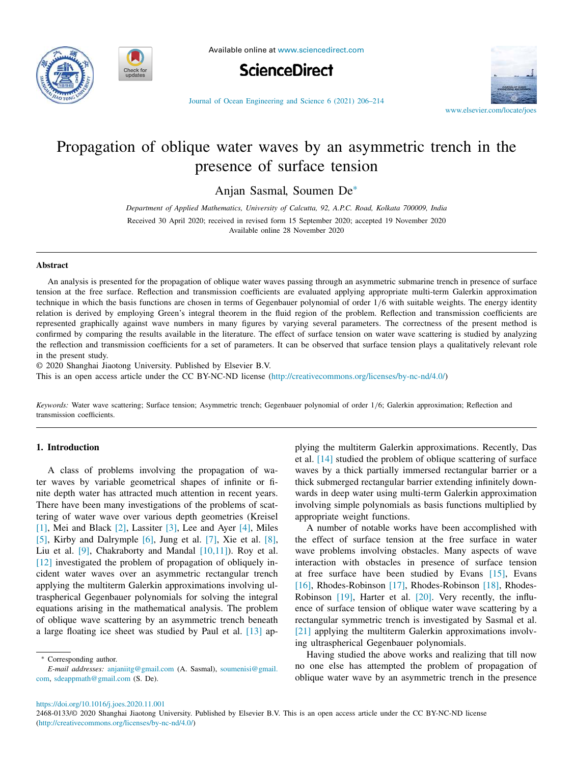



Available online at www.sciencedirect.com





Journal of Ocean Engineering and Science 6 (2021) 206–214

# Propagation of oblique water waves by an asymmetric trench in the presence of surface tension

Anjan Sasmal, Soumen De<sup>∗</sup>

*Department of Applied Mathematics, University of Calcutta, 92, A.P.C. Road, Kolkata 700009, India* Received 30 April 2020; received in revised form 15 September 2020; accepted 19 November 2020 Available online 28 November 2020

#### **Abstract**

An analysis is presented for the propagation of oblique water waves passing through an asymmetric submarine trench in presence of surface tension at the free surface. Reflection and transmission coefficients are evaluated applying appropriate multi-term Galerkin approximation technique in which the basis functions are chosen in terms of Gegenbauer polynomial of order 1/6 with suitable weights. The energy identity relation is derived by employing Green's integral theorem in the fluid region of the problem. Reflection and transmission coefficients are represented graphically against wave numbers in many figures by varying several parameters. The correctness of the present method is confirmed by comparing the results available in the literature. The effect of surface tension on water wave scattering is studied by analyzing the reflection and transmission coefficients for a set of parameters. It can be observed that surface tension plays a qualitatively relevant role in the present study.

© 2020 Shanghai Jiaotong University. Published by Elsevier B.V.

This is an open access article under the CC BY-NC-ND license (http://creativecommons.org/licenses/by-nc-nd/4.0/)

*Keywords:* Water wave scattering; Surface tension; Asymmetric trench; Gegenbauer polynomial of order 1/6; Galerkin approximation; Reflection and transmission coefficients.

## **1. Introduction**

A class of problems involving the propagation of water waves by variable geometrical shapes of infinite or finite depth water has attracted much attention in recent years. There have been many investigations of the problems of scattering of water wave over various depth geometries (Kreisel [1], Mei and Black [2], Lassiter [3], Lee and Ayer [4], Miles [5], Kirby and Dalrymple [6], Jung et al. [7], Xie et al. [8], Liu et al. [9], Chakraborty and Mandal [10,11]). Roy et al. [12] investigated the problem of propagation of obliquely incident water waves over an asymmetric rectangular trench applying the multiterm Galerkin approximations involving ultraspherical Gegenbauer polynomials for solving the integral equations arising in the mathematical analysis. The problem of oblique wave scattering by an asymmetric trench beneath a large floating ice sheet was studied by Paul et al. [13] ap-

<sup>∗</sup> Corresponding author.

plying the multiterm Galerkin approximations. Recently, Das et al. [14] studied the problem of oblique scattering of surface waves by a thick partially immersed rectangular barrier or a thick submerged rectangular barrier extending infinitely downwards in deep water using multi-term Galerkin approximation involving simple polynomials as basis functions multiplied by appropriate weight functions.

A number of notable works have been accomplished with the effect of surface tension at the free surface in water wave problems involving obstacles. Many aspects of wave interaction with obstacles in presence of surface tension at free surface have been studied by Evans [15], Evans [16], Rhodes-Robinson [17], Rhodes-Robinson [18], Rhodes-Robinson [19], Harter et al. [20]. Very recently, the influence of surface tension of oblique water wave scattering by a rectangular symmetric trench is investigated by Sasmal et al. [21] applying the multiterm Galerkin approximations involving ultraspherical Gegenbauer polynomials.

Having studied the above works and realizing that till now no one else has attempted the problem of propagation of oblique water wave by an asymmetric trench in the presence

https://doi.org/10.1016/j.joes.2020.11.001

*E-mail addresses:* anjaniitg@gmail.com (A. Sasmal), soumenisi@gmail. com, sdeappmath@gmail.com (S. De).

<sup>2468-0133/© 2020</sup> Shanghai Jiaotong University. Published by Elsevier B.V. This is an open access article under the CC BY-NC-ND license (http://creativecommons.org/licenses/by-nc-nd/4.0/)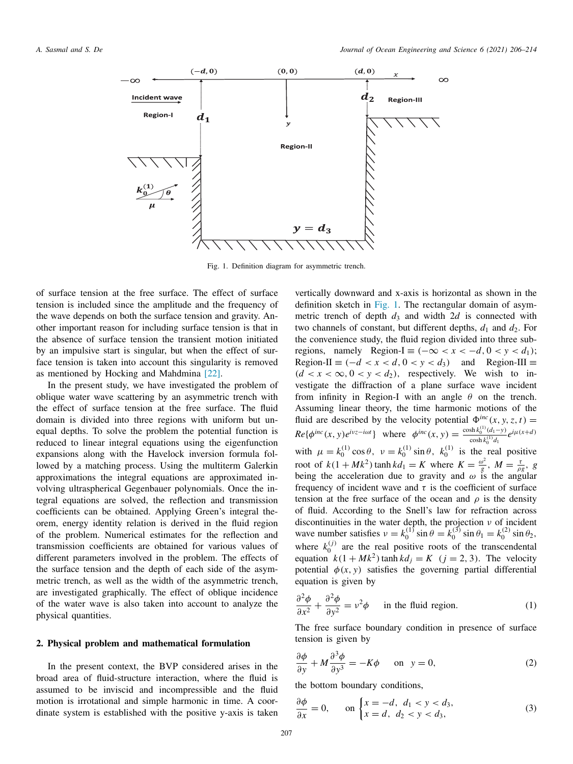

Fig. 1. Definition diagram for asymmetric trench.

of surface tension at the free surface. The effect of surface tension is included since the amplitude and the frequency of the wave depends on both the surface tension and gravity. Another important reason for including surface tension is that in the absence of surface tension the transient motion initiated by an impulsive start is singular, but when the effect of surface tension is taken into account this singularity is removed as mentioned by Hocking and Mahdmina [22].

In the present study, we have investigated the problem of oblique water wave scattering by an asymmetric trench with the effect of surface tension at the free surface. The fluid domain is divided into three regions with uniform but unequal depths. To solve the problem the potential function is reduced to linear integral equations using the eigenfunction expansions along with the Havelock inversion formula followed by a matching process. Using the multiterm Galerkin approximations the integral equations are approximated involving ultraspherical Gegenbauer polynomials. Once the integral equations are solved, the reflection and transmission coefficients can be obtained. Applying Green's integral theorem, energy identity relation is derived in the fluid region of the problem. Numerical estimates for the reflection and transmission coefficients are obtained for various values of different parameters involved in the problem. The effects of the surface tension and the depth of each side of the asymmetric trench, as well as the width of the asymmetric trench, are investigated graphically. The effect of oblique incidence of the water wave is also taken into account to analyze the physical quantities.

#### **2. Physical problem and mathematical formulation**

In the present context, the BVP considered arises in the broad area of fluid-structure interaction, where the fluid is assumed to be inviscid and incompressible and the fluid motion is irrotational and simple harmonic in time. A coordinate system is established with the positive y-axis is taken

vertically downward and x-axis is horizontal as shown in the definition sketch in Fig. 1. The rectangular domain of asymmetric trench of depth  $d_3$  and width  $2d$  is connected with two channels of constant, but different depths,  $d_1$  and  $d_2$ . For the convenience study, the fluid region divided into three subregions, namely Region-I  $\equiv (-\infty < x < -d, 0 < y < d_1)$ ; Region-II  $\equiv (-d < x < d, 0 < y < d_3)$  and Region-III  $\equiv$  $(d < x < \infty, 0 < y < d_2)$ , respectively. We wish to investigate the diffraction of a plane surface wave incident from infinity in Region-I with an angle  $\theta$  on the trench. Assuming linear theory, the time harmonic motions of the fluid are described by the velocity potential  $\Phi^{inc}(x, y, z, t)$  =  $Re{\{\phi^{inc}(x, y)e^{ivz - i\omega t\}}}$  where  $\phi^{inc}(x, y) = \frac{cosh{k_0^{(1)}(d_1 - y)}}{cosh{k_0^{(1)}x}}$  $\frac{\sin k_0^{(1)}(d_1-y)}{\cosh k_0^{(1)}d_1}e^{i\mu(x+d)}$ with  $\mu = k_0^{(1)} \cos \theta$ ,  $\nu = k_0^{(1)} \sin \theta$ ,  $k_0^{(1)}$  is the real positive root of  $k(1 + Mk^2)$  tanh  $kd_1 = K$  where  $K = \frac{\omega^2}{g}$  $\frac{\omega^2}{g},\;M=\frac{\tau}{\rho g},\;g$ being the acceleration due to gravity and  $\omega$  is the angular frequency of incident wave and  $\tau$  is the coefficient of surface tension at the free surface of the ocean and  $\rho$  is the density of fluid. According to the Snell's law for refraction across discontinuities in the water depth, the projection  $\nu$  of incident wave number satisfies  $v = k_0^{(1)} \sin \theta = k_0^{(3)} \sin \theta_1 = k_0^{(2)} \sin \theta_2$ , where  $k_0^{(j)}$  are the real positive roots of the transcendental equation  $k(1 + Mk^2)$  tanh  $kd_j = K$  ( $j = 2, 3$ ). The velocity potential  $\phi(x, y)$  satisfies the governing partial differential equation is given by

$$
\frac{\partial^2 \phi}{\partial x^2} + \frac{\partial^2 \phi}{\partial y^2} = v^2 \phi \quad \text{in the fluid region.} \tag{1}
$$

The free surface boundary condition in presence of surface tension is given by

$$
\frac{\partial \phi}{\partial y} + M \frac{\partial^3 \phi}{\partial y^3} = -K\phi \quad \text{on} \quad y = 0,
$$
 (2)

the bottom boundary conditions,

$$
\frac{\partial \phi}{\partial x} = 0, \quad \text{on } \begin{cases} x = -d, & d_1 < y < d_3, \\ x = d, & d_2 < y < d_3, \end{cases} \tag{3}
$$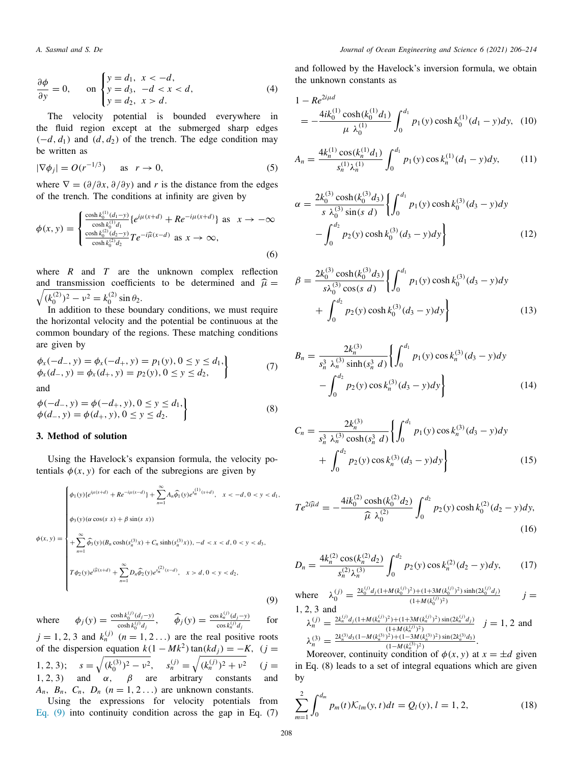$$
\frac{\partial \phi}{\partial y} = 0, \quad \text{on } \begin{cases} y = d_1, & x < -d, \\ y = d_3, & -d < x < d, \\ y = d_2, & x > d. \end{cases}
$$
 (4)

The velocity potential is bounded everywhere in the fluid region except at the submerged sharp edges  $(-d, d_1)$  and  $(d, d_2)$  of the trench. The edge condition may be written as

$$
|\nabla \phi_j| = O(r^{-1/3}) \quad \text{as} \quad r \to 0,
$$
 (5)

where  $\nabla = (\partial/\partial x, \partial/\partial y)$  and *r* is the distance from the edges of the trench. The conditions at infinity are given by

$$
\phi(x, y) = \begin{cases}\n\frac{\cosh k_0^{(1)}(d_1 - y)}{\cosh k_0^{(1)} d_1} \{e^{i\mu(x+d)} + R e^{-i\mu(x+d)}\} \text{ as } x \to -\infty \\
\frac{\cosh k_0^{(2)}(d_2 - y)}{\cosh k_0^{(2)} d_2} T e^{-i\widehat{\mu}(x-d)} \text{ as } x \to \infty,\n\end{cases}
$$
\n(6)

where  $R$  and  $T$  are the unknown complex reflection and transmission coefficients to be determined and  $\hat{\mu} =$  $\sqrt{(k_0^{(2)})^2 - \nu^2} = k_0^{(2)} \sin \theta_2.$ 

In addition to these boundary conditions, we must require the horizontal velocity and the potential be continuous at the common boundary of the regions. These matching conditions are given by

$$
\begin{aligned}\n\phi_x(-d_-, y) &= \phi_x(-d_+, y) = p_1(y), \ 0 \le y \le d_1, \\
\phi_x(d_-, y) &= \phi_x(d_+, y) = p_2(y), \ 0 \le y \le d_2,\n\end{aligned} \tag{7}
$$

and

$$
\begin{aligned}\n\phi(-d_-, y) &= \phi(-d_+, y), 0 \le y \le d_1, \\
\phi(d_-, y) &= \phi(d_+, y), 0 \le y \le d_2.\n\end{aligned}
$$
\n(8)

## **3. Method of solution**

Using the Havelock's expansion formula, the velocity potentials  $\phi(x, y)$  for each of the subregions are given by

$$
\phi(x, y) = \begin{cases}\n\phi_1(y)\{e^{i\mu(x+d)} + Re^{-i\mu(x-d)}\} + \sum_{n=1}^{\infty} A_n \widehat{\phi}_1(y)e^{s_n^{(1)}(x+d)}, & x < -d, 0 < y < d_1, \\
\phi_3(y)(\alpha \cos(s x) + \beta \sin(s x)) \\
+ \sum_{n=1}^{\infty} \widehat{\phi}_3(y)(B_n \cosh(s_n^{(3)} x) + C_n \sinh(s_n^{(3)} x)), -d < x < d, 0 < y < d_3, \\
T\phi_2(y)e^{i\widehat{\mu}(x+d)} + \sum_{n=1}^{\infty} D_n \widehat{\phi}_2(y)e^{s_n^{(2)}(x-d)}, & x > d, 0 < y < d_2,\n\end{cases}
$$
\n(9)

where  $\phi_j(y) = \frac{\cosh k_0^{(j)}(d_j - y)}{\cosh k_j^{(j)}(d_j - y)}$  $\hat{\phi}_j(y) = \frac{\cos k_n^{(j)}(d_j - y)}{\cos k_n^{(j)}d_j}$ ,  $\hat{\phi}_j(y) = \frac{\cos k_n^{(j)}(d_j - y)}{\cos k_n^{(j)}d_j}$  $\cos k_n^{(j)}d_j$ for

 $j = 1, 2, 3$  and  $k_n^{(j)}$   $(n = 1, 2, ...)$  are the real positive roots of the dispersion equation  $k(1 - Mk^2) \tan(kd_j) = -K$ ,  $(j =$ 1, 2, 3);  $s = \sqrt{(k_0^{(3)})^2 - \nu^2}$ ,  $s_n^{(j)} = \sqrt{(k_n^{(j)})^2 + \nu^2}$  $(i =$ 1, 2, 3) and  $\alpha$ ,  $\beta$  are arbitrary constants and  $A_n$ ,  $B_n$ ,  $C_n$ ,  $D_n$  ( $n = 1, 2...$ ) are unknown constants.

Using the expressions for velocity potentials from Eq. (9) into continuity condition across the gap in Eq. (7)

and followed by the Havelock's inversion formula, we obtain the unknown constants as

$$
1 - Re^{2i\mu d}
$$
  
= 
$$
-\frac{4ik_0^{(1)}\cosh(k_0^{(1)}d_1)}{\mu \lambda_0^{(1)}} \int_0^{d_1} p_1(y) \cosh k_0^{(1)}(d_1 - y) dy, (10)
$$

$$
A_n = \frac{4k_n^{(1)}\cos(k_n^{(1)}d_1)}{s_n^{(1)}\lambda_n^{(1)}} \int_0^{d_1} p_1(y)\cos(k_n^{(1)}(d_1 - y)dy,\qquad(11)
$$

$$
\alpha = \frac{2k_0^{(3)}\cosh(k_0^{(3)}d_3)}{s\ \lambda_0^{(3)}\sin(s\ d)} \left\{ \int_0^{d_1} p_1(y)\cosh(k_0^{(3)}(d_3 - y)dy - \int_0^{d_2} p_2(y)\cosh(k_0^{(3)}(d_3 - y)dy) \right\}
$$
(12)

$$
\beta = \frac{2k_0^{(3)}\cosh(k_0^{(3)}d_3)}{s\lambda_0^{(3)}\cos(s\ d)} \left\{ \int_0^{d_1} p_1(y)\cosh(k_0^{(3)}(d_3 - y)dy + \int_0^{d_2} p_2(y)\cosh(k_0^{(3)}(d_3 - y)dy) \right\}
$$
(13)

$$
B_n = \frac{2k_n^{(3)}}{s_n^3 \lambda_n^{(3)} \sinh(s_n^3 d)} \left\{ \int_0^{d_1} p_1(y) \cos k_n^{(3)} (d_3 - y) dy - \int_0^{d_2} p_2(y) \cos k_n^{(3)} (d_3 - y) dy \right\}
$$
(14)

$$
C_n = \frac{2k_n^{(3)}}{s_n^3 \lambda_n^{(3)} \cosh(s_n^3 d)} \left\{ \int_0^{d_1} p_1(y) \cos k_n^{(3)} (d_3 - y) dy + \int_0^{d_2} p_2(y) \cos k_n^{(3)} (d_3 - y) dy \right\}
$$
(15)

$$
Te^{2i\widehat{\mu}d} = -\frac{4ik_0^{(2)}\cosh(k_0^{(2)}d_2)}{\widehat{\mu}\ \lambda_0^{(2)}} \int_0^{d_2} p_2(y)\cosh k_0^{(2)}(d_2 - y)dy,
$$
\n(16)

$$
D_n = \frac{4k_n^{(2)}\cos(k_n^{(2)}d_2)}{s_n^{(2)}\lambda_n^{(3)}} \int_0^{d_2} p_2(y)\cos k_n^{(2)}(d_2 - y)dy,\qquad(17)
$$

where 
$$
\lambda_0^{(j)} = \frac{2k_0^{(j)}d_j(1 + M(k_0^{(j)})^2) + (1 + 3M(k_0^{(j)})^2) \sinh(2k_0^{(j)}d_j)}{(1 + M(k_0^{(j)})^2)}
$$
 *j* = 1, 2, 3 and

$$
\lambda_n^{(j)} = \frac{2k_n^{(j)}d_j(1+M(k_n^{(j)})^2) + (1+3M(k_n^{(j)})^2)\sin(2k_n^{(j)}d_j)}{(1+M(k_n^{(j)})^2)} \quad j = 1, 2 \text{ and}
$$
  

$$
\lambda_n^{(3)} = \frac{2k_n^{(3)}d_3(1-M(k_n^{(3)})^2) + (1-3M(k_n^{(3)})^2)\sin(2k_n^{(3)}d_3)}{(1-M(k_n^{(3)})^2)}.
$$

 $\lim_{n \to \infty} \frac{(1-M(k_n^{(n)})^2)}{n}$  Moreover, continuity condition of  $\phi(x, y)$  at  $x = \pm d$  given in Eq. (8) leads to a set of integral equations which are given by

$$
\sum_{m=1}^{2} \int_{0}^{d_{m}} p_{m}(t) \mathcal{K}_{lm}(y, t) dt = Q_{l}(y), l = 1, 2,
$$
\n(18)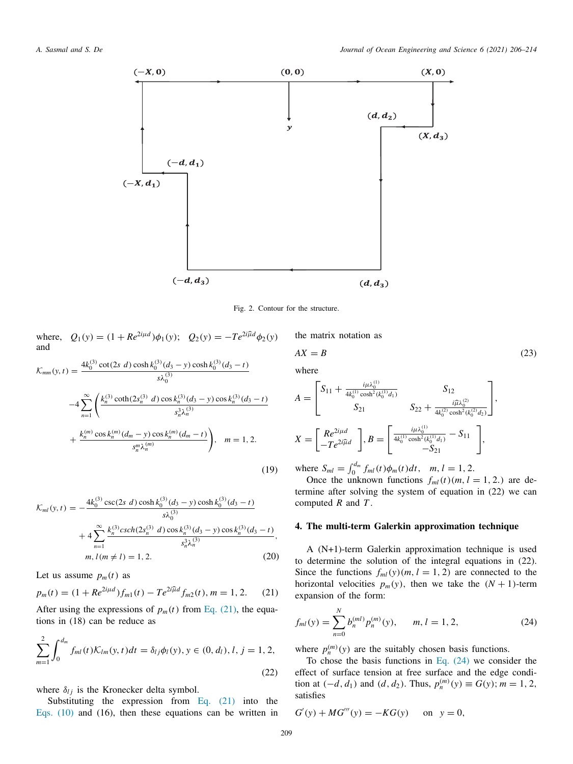

Fig. 2. Contour for the structure.

where,  $Q_1(y) = (1 + Re^{2i\mu d})\phi_1(y)$ ;  $Q_2(y) = -Te^{2i\hat{\mu}d}\phi_2(y)$ and

$$
\mathcal{K}_{mm}(y,t) = \frac{4k_0^{(3)} \cot(2s \ d) \cosh k_0^{(3)}(d_3 - y) \cosh k_0^{(3)}(d_3 - t)}{s\lambda_0^{(3)}}
$$
  

$$
-4 \sum_{n=1}^{\infty} \left( \frac{k_n^{(3)} \coth(2s_n^{(3)} \ d) \cos k_n^{(3)}(d_3 - y) \cos k_n^{(3)}(d_3 - t)}{s_n^3 \lambda_n^{(3)}} + \frac{k_n^{(m)} \cos k_n^{(m)}(d_m - y) \cos k_m^{(m)}(d_m - t)}{s_n^m \lambda_n^{(m)}} \right), \quad m = 1, 2.
$$
  
(19)

$$
\mathcal{K}_{ml}(y,t) = -\frac{4k_0^{(3)}\csc(2s\ d)\cosh k_0^{(3)}(d_3 - y)\cosh k_0^{(3)}(d_3 - t)}{s\lambda_0^{(3)}}
$$

$$
+4\sum_{n=1}^{\infty}\frac{k_n^{(3)}\cosh(2s_n^{(3)}\ d)\cos k_n^{(3)}(d_3 - y)\cos k_n^{(3)}(d_3 - t)}{s_n^3\lambda_n^{(3)}},
$$

$$
m, l(m \neq l) = 1, 2.
$$
 (20)

Let us assume  $p_m(t)$  as

$$
p_m(t) = (1 + Re^{2i\mu d})f_{m1}(t) - Te^{2i\widehat{\mu}d}f_{m2}(t), m = 1, 2.
$$
 (21)

After using the expressions of  $p_m(t)$  from Eq. (21), the equations in (18) can be reduce as

$$
\sum_{m=1}^{2} \int_{0}^{d_{m}} f_{ml}(t) \mathcal{K}_{lm}(y, t) dt = \delta_{lj} \phi_{l}(y), y \in (0, d_{l}), l, j = 1, 2,
$$
\n(22)

where  $\delta_{lj}$  is the Kronecker delta symbol.

Substituting the expression from Eq. (21) into the Eqs. (10) and (16), then these equations can be written in the matrix notation as

$$
AX = B \tag{23}
$$
 where

$$
A = \begin{bmatrix} S_{11} + \frac{i\mu\lambda_0^{(1)}}{4k_0^{(1)}\cosh^2(k_0^{(1)}d_1)} & S_{12} \\ S_{21} & S_{22} + \frac{i\widehat{\mu}\lambda_0^{(2)}}{4k_0^{(2)}\cosh^2(k_0^{(2)}d_2)} \end{bmatrix},
$$
  

$$
X = \begin{bmatrix} Re^{2i\mu d} \\ -Te^{2i\widehat{\mu}d} \end{bmatrix}, B = \begin{bmatrix} \frac{i\mu\lambda_0^{(1)}}{4k_0^{(1)}\cosh^2(k_0^{(1)}d_1)} - S_{11} \\ -S_{21} \end{bmatrix},
$$

where  $S_{ml} = \int_0^{d_m} f_{ml}(t)\phi_m(t)dt$ ,  $m, l = 1, 2$ .

Once the unknown functions  $f_{ml}(t)(m, l = 1, 2)$  are determine after solving the system of equation in (22) we can computed *R* and *T* .

### **4. The multi-term Galerkin approximation technique**

A (N+1)-term Galerkin approximation technique is used to determine the solution of the integral equations in (22). Since the functions  $f_{ml}(y)(m, l = 1, 2)$  are connected to the horizontal velocities  $p_m(y)$ , then we take the  $(N + 1)$ -term expansion of the form:

$$
f_{ml}(y) = \sum_{n=0}^{N} b_n^{(ml)} p_n^{(m)}(y), \qquad m, l = 1, 2,
$$
 (24)

where  $p_n^{(m)}(y)$  are the suitably chosen basis functions.

To chose the basis functions in Eq. (24) we consider the effect of surface tension at free surface and the edge condition at  $(-d, d_1)$  and  $(d, d_2)$ . Thus,  $p_n^{(m)}(y) \equiv G(y)$ ;  $m = 1, 2$ , satisfies

$$
G'(y) + MG'''(y) = -KG(y)
$$
 on  $y = 0$ ,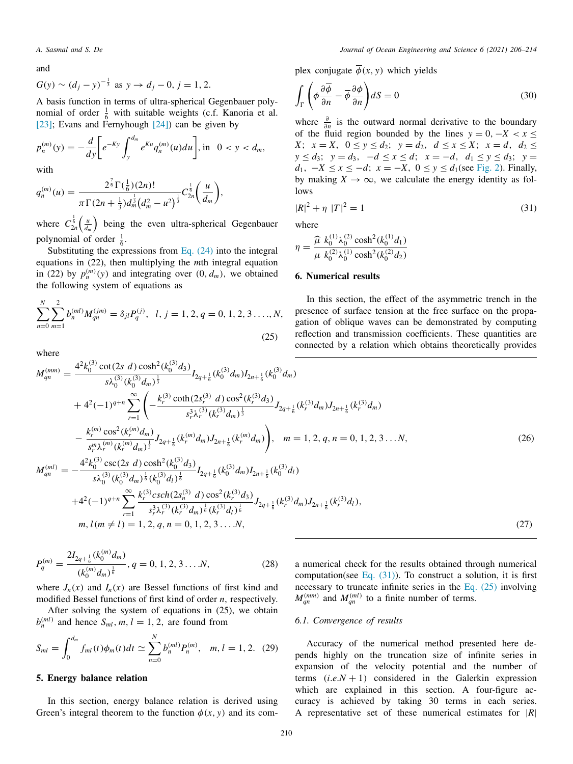and

$$
G(y) \sim (d_j - y)^{-\frac{1}{3}}
$$
 as  $y \to d_j - 0$ ,  $j = 1, 2$ .

A basis function in terms of ultra-spherical Gegenbauer polynomial of order  $\frac{1}{6}$  with suitable weights (c.f. Kanoria et al. [23]; Evans and Fernyhough [24]) can be given by

$$
p_n^{(m)}(y) = -\frac{d}{dy} \bigg[ e^{-Ky} \int_y^{d_m} e^{Ku} q_n^{(m)}(u) du \bigg], \text{ in } 0 < y < d_m,
$$
  
with

with

$$
q_n^{(m)}(u) = \frac{2^{\frac{7}{6}} \Gamma(\frac{1}{6})(2n)!}{\pi \Gamma(2n + \frac{1}{3}) d_m^{\frac{1}{3}} (d_m^2 - u^2)^{\frac{1}{3}}} C_{2n}^{\frac{1}{6}} \left(\frac{u}{d_m}\right),
$$

where  $C_{2n}^{\frac{1}{6}}\left(\frac{u}{d_m}\right)$  being the even ultra-spherical Gegenbauer polynomial of order  $\frac{1}{6}$ .

Substituting the expressions from Eq.  $(24)$  into the integral equations in (22), then multiplying the *m*th integral equation in (22) by  $p_n^{(m)}(y)$  and integrating over  $(0, d_m)$ , we obtained the following system of equations as

$$
\sum_{n=0}^{N} \sum_{m=1}^{2} b_n^{(ml)} M_{qn}^{(jm)} = \delta_{jl} P_q^{(j)}, \quad l, j = 1, 2, q = 0, 1, 2, 3, \dots, N,
$$
\n(25)

where

plex conjugate  $\overline{\phi}(x, y)$  which yields

$$
\int_{\Gamma} \left( \phi \frac{\partial \overline{\phi}}{\partial n} - \overline{\phi} \frac{\partial \phi}{\partial n} \right) dS = 0 \tag{30}
$$

where  $\frac{\partial}{\partial n}$  is the outward normal derivative to the boundary of the fluid region bounded by the lines  $y = 0, -X < x \leq$ *X*;  $x = X$ ,  $0 \le y \le d_2$ ;  $y = d_2$ ,  $d \le x \le X$ ;  $x = d$ ,  $d_2 \le$ *y* ≤ *d*3; *y* = *d*3, −*d* ≤ *x* ≤ *d*; *x* = −*d*, *d*<sup>1</sup> ≤ *y* ≤ *d*3; *y* = *d*<sub>1</sub>, −*X* ≤ *x* ≤ −*d*; *x* = −*X*, 0 ≤ *y* ≤ *d*<sub>1</sub>(see Fig. 2). Finally, by making  $X \to \infty$ , we calculate the energy identity as follows

$$
|R|^2 + \eta |T|^2 = 1 \tag{31}
$$

where

$$
\eta = \frac{\widehat{\mu} k_0^{(1)} \lambda_0^{(2)} \cosh^2(k_0^{(1)} d_1)}{\mu k_0^{(2)} \lambda_0^{(1)} \cosh^2(k_0^{(2)} d_2)}
$$

#### **6. Numerical results**

In this section, the effect of the asymmetric trench in the presence of surface tension at the free surface on the propagation of oblique waves can be demonstrated by computing reflection and transmission coefficients. These quantities are connected by a relation which obtains theoretically provides

$$
M_{qn}^{(mm)} = \frac{4^{2}k_{0}^{(3)}\cot(2s\ d)\cosh^{2}(k_{0}^{(3)}d_{3})}{s\lambda_{0}^{(3)}(k_{0}^{(3)}d_{m})^{\frac{1}{3}}}I_{2q+\frac{1}{6}}(k_{0}^{(3)}d_{m})I_{2n+\frac{1}{6}}(k_{0}^{(3)}d_{m})
$$
  
+  $4^{2}(-1)^{q+n}\sum_{r=1}^{\infty}\left(-\frac{k_{r}^{(3)}\coth(2s_{r}^{(3)}\ d)\cos^{2}(k_{r}^{(3)}d_{3})}{s_{r}^{3}\lambda_{r}^{(3)}(k_{r}^{(3)}d_{m})^{\frac{1}{3}}}J_{2q+\frac{1}{6}}(k_{r}^{(3)}d_{m})J_{2n+\frac{1}{6}}(k_{r}^{(3)}d_{m})$   
-  $\frac{k_{r}^{(m)}\cos^{2}(k_{r}^{(m)}d_{m})}{s_{r}^{m}\lambda_{r}^{(m)}(k_{r}^{(m)}d_{m})^{\frac{1}{3}}}J_{2q+\frac{1}{6}}(k_{r}^{(m)}d_{m})J_{2n+\frac{1}{6}}(k_{r}^{(m)}d_{m})\right), \quad m = 1, 2, q, n = 0, 1, 2, 3...N,$   

$$
M_{qn}^{(ml)} = -\frac{4^{2}k_{0}^{(3)}\csc(2s\ d)\cosh^{2}(k_{0}^{(3)}d_{3})}{s\lambda_{0}^{(3)}(k_{0}^{(3)}d_{m})^{\frac{1}{6}}(k_{0}^{(3)}d_{l})^{\frac{1}{6}}}I_{2q+\frac{1}{6}}(k_{0}^{(3)}d_{m})I_{2n+\frac{1}{6}}(k_{0}^{(3)}d_{l})
$$
 (26)

$$
x\lambda_0^{(1)}(k_0^{(2)}a_m)^6(k_0^{(3)}a_l)^6
$$
  
+4<sup>2</sup>(-1)<sup>q+n</sup> $\sum_{r=1}^{\infty} \frac{k_r^{(3)}csch(2s_n^{(3)} d) cos^2(k_r^{(3)}d_3)}{s_r^3 \lambda_r^{(3)}(k_r^{(3)}d_m)^{\frac{1}{6}}(k_r^{(3)}d_l)^{\frac{1}{6}}} J_{2q+\frac{1}{6}}(k_r^{(3)}d_m) J_{2n+\frac{1}{6}}(k_r^{(3)}d_l),$   
m,  $l(m \neq l) = 1, 2, q, n = 0, 1, 2, 3...N,$  (27)

$$
P_q^{(m)} = \frac{2I_{2q+\frac{1}{6}}(k_0^{(m)}d_m)}{(k_0^{(m)}d_m)^{\frac{1}{6}}}, q = 0, 1, 2, 3 \dots N,
$$
 (28)

where  $J_n(x)$  and  $I_n(x)$  are Bessel functions of first kind and modified Bessel functions of first kind of order *n*, respectively.

After solving the system of equations in (25), we obtain  $b_n^{(ml)}$  and hence  $S_{ml}$ ,  $m, l = 1, 2$ , are found from

$$
S_{ml} = \int_0^{d_m} f_{ml}(t)\phi_m(t)dt \simeq \sum_{n=0}^N b_n^{(ml)}P_n^{(m)}, \quad m, l = 1, 2. \tag{29}
$$

## **5. Energy balance relation**

In this section, energy balance relation is derived using Green's integral theorem to the function  $\phi(x, y)$  and its coma numerical check for the results obtained through numerical computation(see Eq.  $(31)$ ). To construct a solution, it is first necessary to truncate infinite series in the Eq. (25) involving  $M_{qn}^{(mm)}$  and  $M_{qn}^{(ml)}$  to a finite number of terms.

#### *6.1. Convergence of results*

Accuracy of the numerical method presented here depends highly on the truncation size of infinite series in expansion of the velocity potential and the number of terms  $(i.e. N + 1)$  considered in the Galerkin expression which are explained in this section. A four-figure accuracy is achieved by taking 30 terms in each series. A representative set of these numerical estimates for |*R*|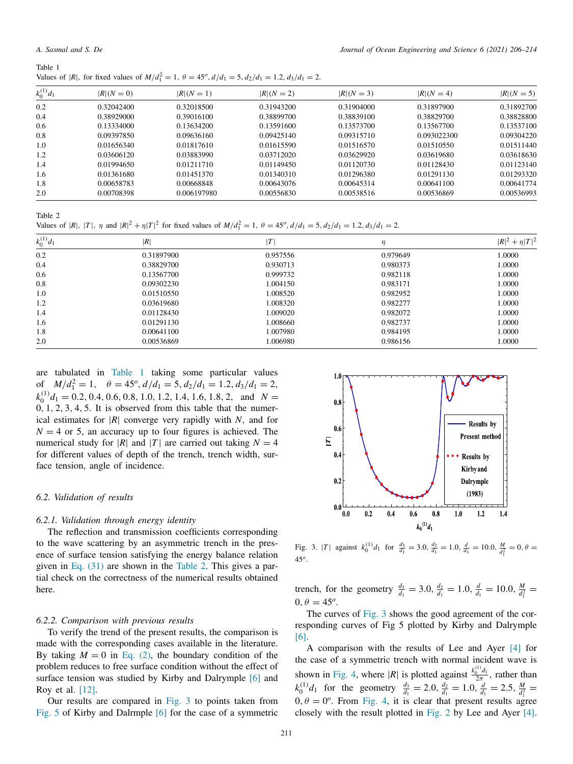| Table 1 |                                                                                                                            |
|---------|----------------------------------------------------------------------------------------------------------------------------|
|         | Values of  R , for fixed values of $M/d_1^2 = 1$ , $\theta = 45^{\circ}$ , $d/d_1 = 5$ , $d_2/d_1 = 1.2$ , $d_3/d_1 = 2$ . |

| $k_0^{(1)}d_1$ | $ R (N=0)$ | $ R (N=1)$  | $ R (N=2)$ | $ R (N=3)$ | $ R (N=4)$  | $ R (N=5)$ |
|----------------|------------|-------------|------------|------------|-------------|------------|
| 0.2            | 0.32042400 | 0.32018500  | 0.31943200 | 0.31904000 | 0.31897900  | 0.31892700 |
| 0.4            | 0.38929000 | 0.39016100  | 0.38899700 | 0.38839100 | 0.38829700  | 0.38828800 |
| 0.6            | 0.13334000 | 0.13634200  | 0.13591600 | 0.13573700 | 0.13567700  | 0.13537100 |
| 0.8            | 0.09397850 | 0.09636160  | 0.09425140 | 0.09315710 | 0.093022300 | 0.09304220 |
| 1.0            | 0.01656340 | 0.01817610  | 0.01615590 | 0.01516570 | 0.01510550  | 0.01511440 |
| 1.2            | 0.03606120 | 0.03883990  | 0.03712020 | 0.03629920 | 0.03619680  | 0.03618630 |
| 1.4            | 0.01994650 | 0.01211710  | 0.01149450 | 0.01120730 | 0.01128430  | 0.01123140 |
| 1.6            | 0.01361680 | 0.01451370  | 0.01340310 | 0.01296380 | 0.01291130  | 0.01293320 |
| 1.8            | 0.00658783 | 0.00668848  | 0.00643076 | 0.00645314 | 0.00641100  | 0.00641774 |
| 2.0            | 0.00708398 | 0.006197980 | 0.00556830 | 0.00538516 | 0.00536869  | 0.00536993 |

Table 2

Values of |*R*|, |*T*|,  $\eta$  and  $|R|^2 + \eta |T|^2$  for fixed values of  $M/d_1^2 = 1$ ,  $\theta = 45^o$ ,  $d/d_1 = 5$ ,  $d_2/d_1 = 1.2$ ,  $d_3/d_1 = 2$ .

| $k_0^{(1)}d_1$ | R          |          | η        | $ R ^2 + \eta  T ^2$ |
|----------------|------------|----------|----------|----------------------|
| 0.2            | 0.31897900 | 0.957556 | 0.979649 | 1.0000               |
| 0.4            | 0.38829700 | 0.930713 | 0.980373 | 1.0000               |
| 0.6            | 0.13567700 | 0.999732 | 0.982118 | 1.0000               |
| 0.8            | 0.09302230 | 1.004150 | 0.983171 | 1.0000               |
| 1.0            | 0.01510550 | 1.008520 | 0.982952 | 1.0000               |
| 1.2            | 0.03619680 | 1.008320 | 0.982277 | 1.0000               |
| 1.4            | 0.01128430 | 1.009020 | 0.982072 | 1.0000               |
| 1.6            | 0.01291130 | 1.008660 | 0.982737 | 1.0000               |
| 1.8            | 0.00641100 | 1.007980 | 0.984195 | 1.0000               |
| 2.0            | 0.00536869 | 1.006980 | 0.986156 | 1.0000               |

are tabulated in Table 1 taking some particular values of  $M/d_1^2 = 1$ ,  $\theta = 45^o$ ,  $d/d_1 = 5$ ,  $d_2/d_1 = 1.2$ ,  $d_3/d_1 = 2$ ,  $k_0^{(1)}d_1 = 0.2, 0.4, 0.6, 0.8, 1.0, 1.2, 1.4, 1.6, 1.8, 2, \text{ and } N =$  $0, 1, 2, 3, 4, 5$ . It is observed from this table that the numerical estimates for |*R*| converge very rapidly with *N*, and for  $N = 4$  or 5, an accuracy up to four figures is achieved. The numerical study for |*R*| and |*T*| are carried out taking  $N = 4$ for different values of depth of the trench, trench width, surface tension, angle of incidence.

#### *6.2. Validation of results*

## *6.2.1. Validation through energy identity*

The reflection and transmission coefficients corresponding to the wave scattering by an asymmetric trench in the presence of surface tension satisfying the energy balance relation given in Eq. (31) are shown in the Table 2. This gives a partial check on the correctness of the numerical results obtained here.

#### *6.2.2. Comparison with previous results*

To verify the trend of the present results, the comparison is made with the corresponding cases available in the literature. By taking  $M = 0$  in Eq. (2), the boundary condition of the problem reduces to free surface condition without the effect of surface tension was studied by Kirby and Dalrymple [6] and Roy et al. [12].

Our results are compared in Fig. 3 to points taken from Fig. 5 of Kirby and Dalrmple [6] for the case of a symmetric



Fig. 3. |*T*| against  $k_0^{(1)}d_1$  for  $\frac{d_3}{d_1} = 3.0$ ,  $\frac{d_2}{d_1} = 1.0$ ,  $\frac{d}{d_1} = 10.0$ ,  $\frac{M}{d_1^2} = 0$ ,  $\theta =$ 45*<sup>o</sup>* .

trench, for the geometry  $\frac{d_3}{d_1} = 3.0, \frac{d_2}{d_1} = 1.0, \frac{d}{d_1} = 10.0, \frac{M}{d_1^2} =$  $0, \theta = 45^{\circ}.$ 

The curves of Fig. 3 shows the good agreement of the corresponding curves of Fig 5 plotted by Kirby and Dalrymple [6].

A comparison with the results of Lee and Ayer [4] for the case of a symmetric trench with normal incident wave is shown in Fig. 4, where |*R*| is plotted against  $\frac{k_0^{(1)}d_1}{2\pi}$  $\frac{1}{2\pi}$ , rather than  $k_0^{(1)}d_1$  for the geometry  $\frac{d_3}{d_1} = 2.0, \frac{d_2}{d_1} = 1.0, \frac{d}{d_1} = 2.5, \frac{M}{d_1^2} =$  $0, \theta = 0^\circ$ . From Fig. 4, it is clear that present results agree closely with the result plotted in Fig. 2 by Lee and Ayer [4].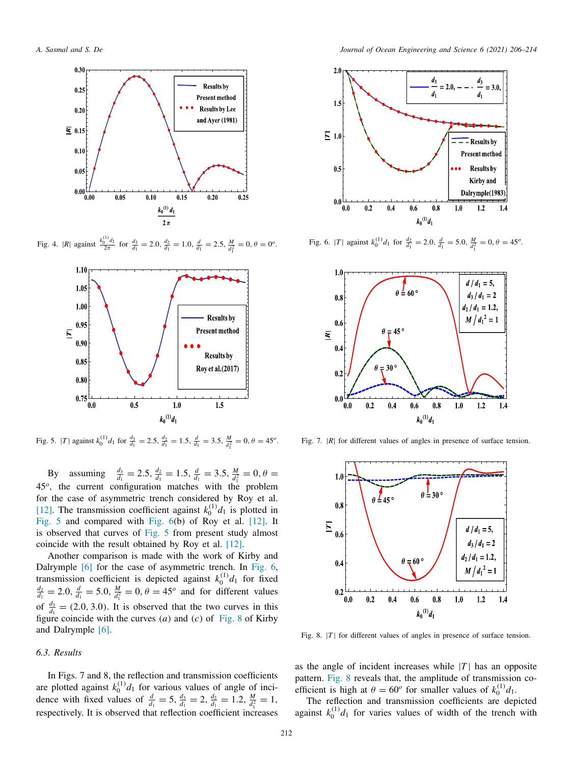

Fig. 4. |*R*| against  $\frac{k_0^{(1)}d_1}{2\pi}$  for  $\frac{d_3}{d_1} = 2.0$ ,  $\frac{d_2}{d_1} = 1.0$ ,  $\frac{d}{d_1} = 2.5$ ,  $\frac{M}{d_1^2} = 0$ ,  $\theta = 0^\circ$ .



Fig. 5. |*T*| against  $k_0^{(1)}d_1$  for  $\frac{d_3}{d_1} = 2.5$ ,  $\frac{d_2}{d_1} = 1.5$ ,  $\frac{d}{d_1} = 3.5$ ,  $\frac{M}{d_1^2} = 0$ ,  $\theta = 45^o$ .

By assuming  $\frac{d_3}{d_1} = 2.5$ ,  $\frac{d_2}{d_1} = 1.5$ ,  $\frac{d}{d_1} = 3.5$ ,  $\frac{M}{d_1^2} = 0$ ,  $\theta =$ 45*<sup>o</sup>* , the current configuration matches with the problem for the case of asymmetric trench considered by Roy et al. [12]. The transmission coefficient against  $k_0^{(1)}d_1$  is plotted in Fig. 5 and compared with Fig. 6(b) of Roy et al. [12]. It is observed that curves of Fig. 5 from present study almost coincide with the result obtained by Roy et al. [12].

Another comparison is made with the work of Kirby and Dalrymple [6] for the case of asymmetric trench. In Fig. 6, transmission coefficient is depicted against  $k_0^{(1)}d_1$  for fixed  $\frac{d_2}{d_1} = 2.0$ ,  $\frac{d}{d_1} = 5.0$ ,  $\frac{M}{d_1^2} = 0$ ,  $\theta = 45^\circ$  and for different values of  $\frac{d_3}{d_1} = (2.0, 3.0)$ . It is observed that the two curves in this figure coincide with the curves (*a*) and (*c*) of Fig. 8 of Kirby and Dalrymple [6].

#### *6.3. Results*

In Figs. 7 and 8, the reflection and transmission coefficients are plotted against  $k_0^{(1)}d_1$  for various values of angle of incidence with fixed values of  $\frac{d}{d_1} = 5$ ,  $\frac{d_3}{d_1} = 2$ ,  $\frac{d_2}{d_1} = 1.2$ ,  $\frac{M}{d_1^2} = 1$ , respectively. It is observed that reflection coefficient increases



Fig. 6. |*T*| against  $k_0^{(1)}d_1$  for  $\frac{d_2}{d_1} = 2.0$ ,  $\frac{d}{d_1} = 5.0$ ,  $\frac{M}{d_1^2} = 0$ ,  $\theta = 45^\circ$ .



Fig. 7. |R| for different values of angles in presence of surface tension.



Fig. 8.  $|T|$  for different values of angles in presence of surface tension.

as the angle of incident increases while  $|T|$  has an opposite pattern. Fig. 8 reveals that, the amplitude of transmission coefficient is high at  $\theta = 60^\circ$  for smaller values of  $k_0^{(1)}d_1$ .

The reflection and transmission coefficients are depicted against  $k_0^{(1)}d_1$  for varies values of width of the trench with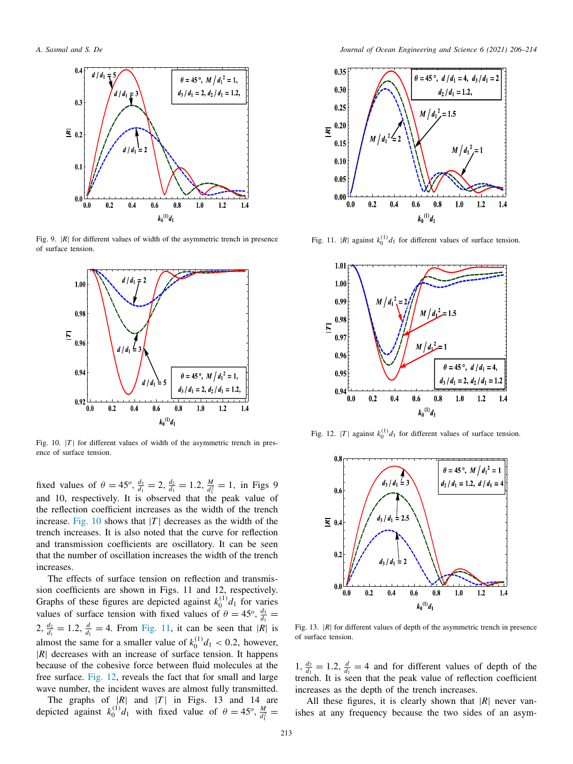

Fig. 9. |R| for different values of width of the asymmetric trench in presence of surface tension.



Fig. 10.  $|T|$  for different values of width of the asymmetric trench in presence of surface tension.

fixed values of  $\theta = 45^o$ ,  $\frac{d_3}{d_1} = 2$ ,  $\frac{d_2}{d_1} = 1.2$ ,  $\frac{M}{d_1^2} = 1$ , in Figs 9 and 10, respectively. It is observed that the peak value of the reflection coefficient increases as the width of the trench increase. Fig. 10 shows that  $|T|$  decreases as the width of the trench increases. It is also noted that the curve for reflection and transmission coefficients are oscillatory. It can be seen that the number of oscillation increases the width of the trench increases.

The effects of surface tension on reflection and transmission coefficients are shown in Figs. 11 and 12, respectively. Graphs of these figures are depicted against  $k_0^{(1)}d_1$  for varies values of surface tension with fixed values of  $\theta = 45^{\circ}$ ,  $\frac{d_3}{d_1}$  $2, \frac{d_2}{d_1} = 1.2, \frac{d}{d_1} = 4$ . From Fig. 11, it can be seen that |*R*| is almost the same for a smaller value of  $k_0^{(1)}d_1 < 0.2$ , however, |*R*| decreases with an increase of surface tension. It happens because of the cohesive force between fluid molecules at the free surface. Fig. 12, reveals the fact that for small and large wave number, the incident waves are almost fully transmitted.

The graphs of  $|R|$  and  $|T|$  in Figs. 13 and 14 are depicted against  $k_0^{(1)}d_1$  with fixed value of  $\theta = 45^o$ ,  $\frac{M}{d_1^2}$ 



Fig. 11.  $|R|$  against  $k_0^{(1)}d_1$  for different values of surface tension.



Fig. 12. |*T*| against  $k_0^{(1)}d_1$  for different values of surface tension.



Fig. 13.  $|R|$  for different values of depth of the asymmetric trench in presence of surface tension.

1,  $\frac{d_2}{d_1} = 1.2$ ,  $\frac{d}{d_1} = 4$  and for different values of depth of the trench. It is seen that the peak value of reflection coefficient increases as the depth of the trench increases.

All these figures, it is clearly shown that  $|R|$  never vanishes at any frequency because the two sides of an asym-